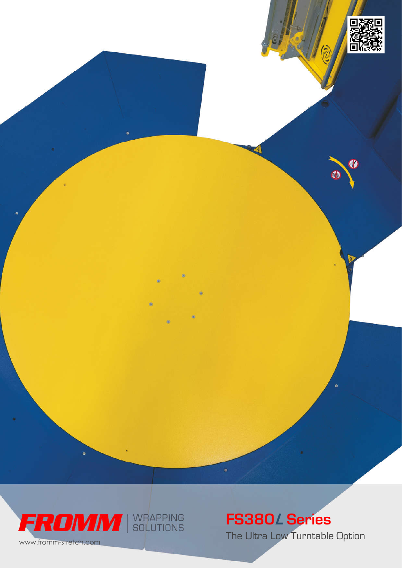



# FS380 <sup>L</sup> Series

The Ultra Low Turntable Option